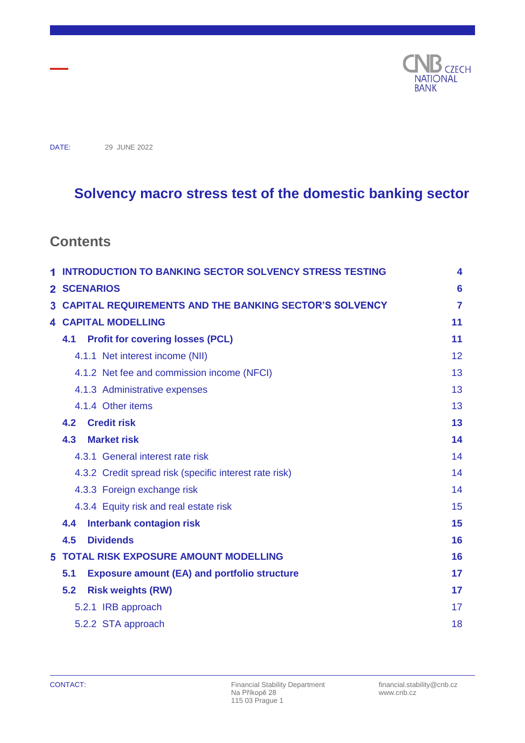

DATE: 29 JUNE 2022

# **Solvency macro stress test of the domestic banking sector**

## **Contents**

|    | <b>INTRODUCTION TO BANKING SECTOR SOLVENCY STRESS TESTING</b>                   |    |  |  |
|----|---------------------------------------------------------------------------------|----|--|--|
|    | 2 SCENARIOS                                                                     | 6  |  |  |
| 3. | <b>CAPITAL REQUIREMENTS AND THE BANKING SECTOR'S SOLVENCY</b><br>$\overline{7}$ |    |  |  |
|    | <b>4 CAPITAL MODELLING</b>                                                      |    |  |  |
|    | <b>Profit for covering losses (PCL)</b><br>4.1                                  | 11 |  |  |
|    | 4.1.1 Net interest income (NII)                                                 | 12 |  |  |
|    | 4.1.2 Net fee and commission income (NFCI)                                      | 13 |  |  |
|    | 4.1.3 Administrative expenses                                                   | 13 |  |  |
|    | 4.1.4 Other items                                                               | 13 |  |  |
|    | <b>Credit risk</b><br>4.2                                                       | 13 |  |  |
|    | 4.3<br><b>Market risk</b>                                                       | 14 |  |  |
|    | 4.3.1 General interest rate risk                                                | 14 |  |  |
|    | 4.3.2 Credit spread risk (specific interest rate risk)                          | 14 |  |  |
|    | 4.3.3 Foreign exchange risk                                                     | 14 |  |  |
|    | 4.3.4 Equity risk and real estate risk                                          | 15 |  |  |
|    | 4.4<br><b>Interbank contagion risk</b>                                          | 15 |  |  |
|    | <b>Dividends</b><br>4.5                                                         | 16 |  |  |
| 5. | <b>TOTAL RISK EXPOSURE AMOUNT MODELLING</b>                                     | 16 |  |  |
|    | 5.1<br><b>Exposure amount (EA) and portfolio structure</b>                      | 17 |  |  |
|    | 5.2<br><b>Risk weights (RW)</b>                                                 | 17 |  |  |
|    | 5.2.1 IRB approach                                                              | 17 |  |  |
|    | 5.2.2 STA approach                                                              | 18 |  |  |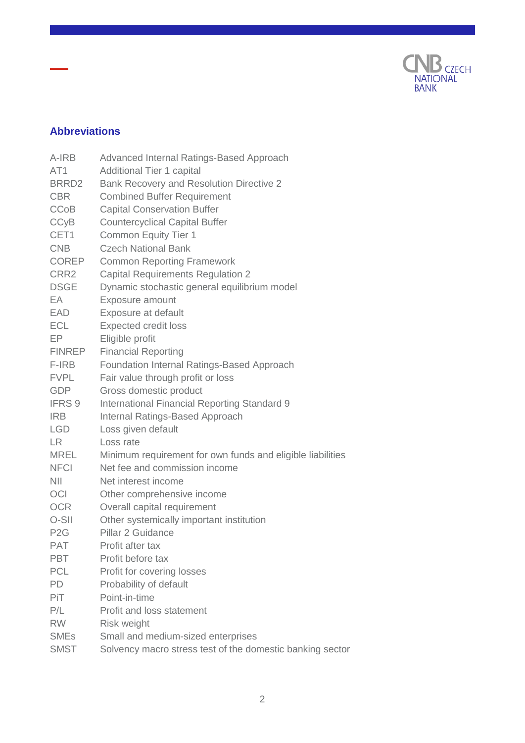

## **Abbreviations**

| A-IRB             | Advanced Internal Ratings-Based Approach                   |
|-------------------|------------------------------------------------------------|
| AT <sub>1</sub>   | <b>Additional Tier 1 capital</b>                           |
| BRRD <sub>2</sub> | Bank Recovery and Resolution Directive 2                   |
| <b>CBR</b>        | <b>Combined Buffer Requirement</b>                         |
| <b>CCoB</b>       | <b>Capital Conservation Buffer</b>                         |
| <b>CCyB</b>       | <b>Countercyclical Capital Buffer</b>                      |
| CET1              | <b>Common Equity Tier 1</b>                                |
| <b>CNB</b>        | <b>Czech National Bank</b>                                 |
| <b>COREP</b>      | <b>Common Reporting Framework</b>                          |
| CRR <sub>2</sub>  | <b>Capital Requirements Regulation 2</b>                   |
| <b>DSGE</b>       | Dynamic stochastic general equilibrium model               |
| EA                | Exposure amount                                            |
| <b>EAD</b>        | Exposure at default                                        |
| <b>ECL</b>        | <b>Expected credit loss</b>                                |
| EP                | Eligible profit                                            |
| <b>FINREP</b>     | <b>Financial Reporting</b>                                 |
| F-IRB             | Foundation Internal Ratings-Based Approach                 |
| <b>FVPL</b>       | Fair value through profit or loss                          |
| <b>GDP</b>        | Gross domestic product                                     |
| IFRS 9            | <b>International Financial Reporting Standard 9</b>        |
| <b>IRB</b>        | <b>Internal Ratings-Based Approach</b>                     |
| <b>LGD</b>        | Loss given default                                         |
| LR.               | Loss rate                                                  |
| <b>MREL</b>       | Minimum requirement for own funds and eligible liabilities |
| <b>NFCI</b>       | Net fee and commission income                              |
| <b>NII</b>        | Net interest income                                        |
| <b>OCI</b>        | Other comprehensive income                                 |
| <b>OCR</b>        | Overall capital requirement                                |
| O-SII             | Other systemically important institution                   |
| P <sub>2</sub> G  | Pillar 2 Guidance                                          |
| <b>PAT</b>        | Profit after tax                                           |
| <b>PBT</b>        | Profit before tax                                          |
| <b>PCL</b>        | Profit for covering losses                                 |
| <b>PD</b>         | Probability of default                                     |
| <b>PiT</b>        | Point-in-time                                              |
| P/L               | Profit and loss statement                                  |
| <b>RW</b>         | Risk weight                                                |
| <b>SMEs</b>       | Small and medium-sized enterprises                         |
| <b>SMST</b>       | Solvency macro stress test of the domestic banking sector  |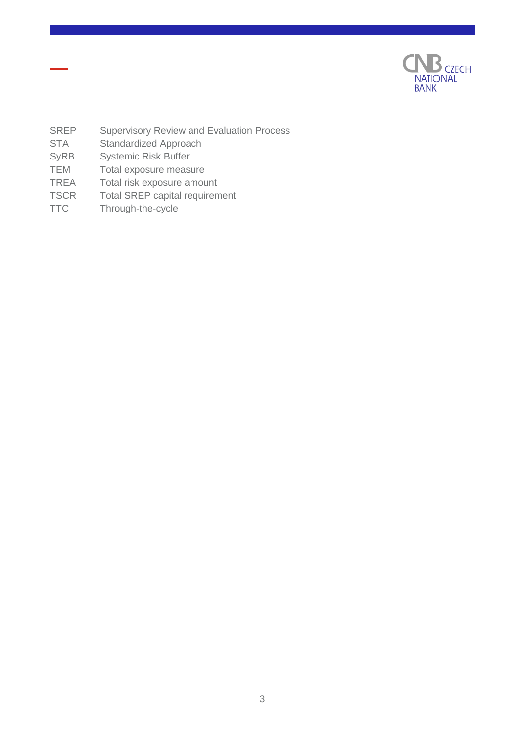

- SREP Supervisory Review and Evaluation Process
- STA Standardized Approach
- SyRB Systemic Risk Buffer
- TEM Total exposure measure
- TREA Total risk exposure amount
- TSCR Total SREP capital requirement
- TTC Through-the-cycle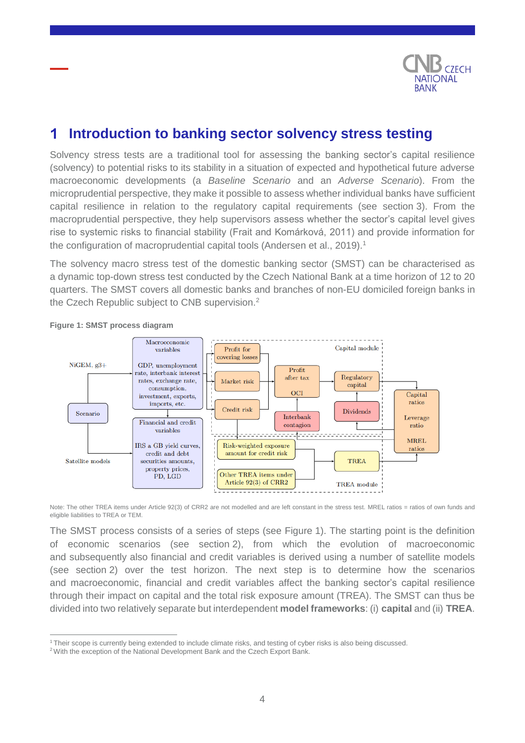

#### <span id="page-3-0"></span>**Introduction to banking sector solvency stress testing** 1

Solvency stress tests are a traditional tool for assessing the banking sector's capital resilience (solvency) to potential risks to its stability in a situation of expected and hypothetical future adverse macroeconomic developments (a *Baseline Scenario* and an *Adverse Scenario*). From the microprudential perspective, they make it possible to assess whether individual banks have sufficient capital resilience in relation to the regulatory capital requirements (see section 3). From the macroprudential perspective, they help supervisors assess whether the sector's capital level gives rise to systemic risks to financial stability (Frait and Komárková, 2011) and provide information for the configuration of macroprudential capital tools (Andersen et al., 2019).<sup>1</sup>

The solvency macro stress test of the domestic banking sector (SMST) can be characterised as a dynamic top-down stress test conducted by the Czech National Bank at a time horizon of 12 to 20 quarters. The SMST covers all domestic banks and branches of non-EU domiciled foreign banks in the Czech Republic subject to CNB supervision.<sup>2</sup>



#### **Figure 1: SMST process diagram**

 $\overline{a}$ 

Note: The other TREA items under Article 92(3) of CRR2 are not modelled and are left constant in the stress test. MREL ratios = ratios of own funds and eligible liabilities to TREA or TEM.

The SMST process consists of a series of steps (see Figure 1). The starting point is the definition of economic scenarios (see section 2), from which the evolution of macroeconomic and subsequently also financial and credit variables is derived using a number of satellite models (see section 2) over the test horizon. The next step is to determine how the scenarios and macroeconomic, financial and credit variables affect the banking sector's capital resilience through their impact on capital and the total risk exposure amount (TREA). The SMST can thus be divided into two relatively separate but interdependent **model frameworks**: (i) **capital** and (ii) **TREA**.

<sup>1</sup> Their scope is currently being extended to include climate risks, and testing of cyber risks is also being discussed.

<sup>&</sup>lt;sup>2</sup> With the exception of the National Development Bank and the Czech Export Bank.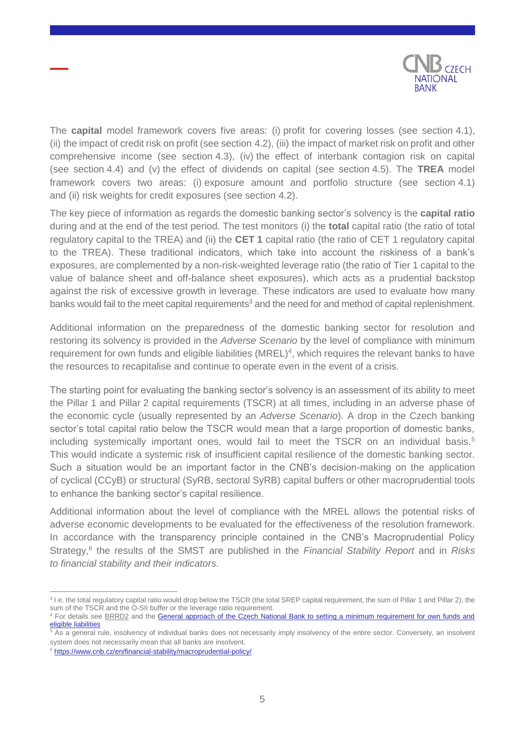

The **capital** model framework covers five areas: (i) profit for covering losses (see section 4.1), (ii) the impact of credit risk on profit (see section 4.2), (iii) the impact of market risk on profit and other comprehensive income (see section 4.3), (iv) the effect of interbank contagion risk on capital (see section 4.4) and (v) the effect of dividends on capital (see section 4.5). The **TREA** model framework covers two areas: (i) exposure amount and portfolio structure (see section 4.1) and (ii) risk weights for credit exposures (see section 4.2).

The key piece of information as regards the domestic banking sector's solvency is the **capital ratio** during and at the end of the test period. The test monitors (i) the **total** capital ratio (the ratio of total regulatory capital to the TREA) and (ii) the **CET 1** capital ratio (the ratio of CET 1 regulatory capital to the TREA). These traditional indicators, which take into account the riskiness of a bank's exposures, are complemented by a non-risk-weighted leverage ratio (the ratio of Tier 1 capital to the value of balance sheet and off-balance sheet exposures), which acts as a prudential backstop against the risk of excessive growth in leverage. These indicators are used to evaluate how many banks would fail to the meet capital requirements<sup>3</sup> and the need for and method of capital replenishment.

Additional information on the preparedness of the domestic banking sector for resolution and restoring its solvency is provided in the *Adverse Scenario* by the level of compliance with minimum requirement for own funds and eligible liabilities (MREL)<sup>4</sup>, which requires the relevant banks to have the resources to recapitalise and continue to operate even in the event of a crisis.

The starting point for evaluating the banking sector's solvency is an assessment of its ability to meet the Pillar 1 and Pillar 2 capital requirements (TSCR) at all times, including in an adverse phase of the economic cycle (usually represented by an *Adverse Scenario*). A drop in the Czech banking sector's total capital ratio below the TSCR would mean that a large proportion of domestic banks, including systemically important ones, would fail to meet the TSCR on an individual basis.<sup>5</sup> This would indicate a systemic risk of insufficient capital resilience of the domestic banking sector. Such a situation would be an important factor in the CNB's decision-making on the application of cyclical (CCyB) or structural (SyRB, sectoral SyRB) capital buffers or other macroprudential tools to enhance the banking sector's capital resilience.

Additional information about the level of compliance with the MREL allows the potential risks of adverse economic developments to be evaluated for the effectiveness of the resolution framework. In accordance with the transparency principle contained in the CNB's Macroprudential Policy Strategy,<sup>6</sup> the results of the SMST are published in the *Financial Stability Report* and in *Risks to financial stability and their indicators*.

 $\overline{a}$ 

<sup>&</sup>lt;sup>3</sup> I.e. the total regulatory capital ratio would drop below the TSCR (the total SREP capital requirement, the sum of Pillar 1 and Pillar 2), the sum of the TSCR and the O-SII buffer or the leverage ratio requirement.

<sup>4</sup> For details see [BRRD2](https://eur-lex.europa.eu/legal-content/EN/TXT/HTML/?uri=CELEX:02014L0059-20210626&from=CS) and the [General approach of the Czech National Bank to setting a minimum requirement for own funds and](https://www.cnb.cz/en/resolution/general-approach-of-the-czech-national-bank-to-setting-a-minimum-requirement-for-own-funds-and-eligible-liabilities-mrel/)  [eligible liabilities](https://www.cnb.cz/en/resolution/general-approach-of-the-czech-national-bank-to-setting-a-minimum-requirement-for-own-funds-and-eligible-liabilities-mrel/)

As a general rule, insolvency of individual banks does not necessarily imply insolvency of the entire sector. Conversely, an insolvent system does not necessarily mean that all banks are insolvent.

<sup>6</sup> <https://www.cnb.cz/en/financial-stability/macroprudential-policy/>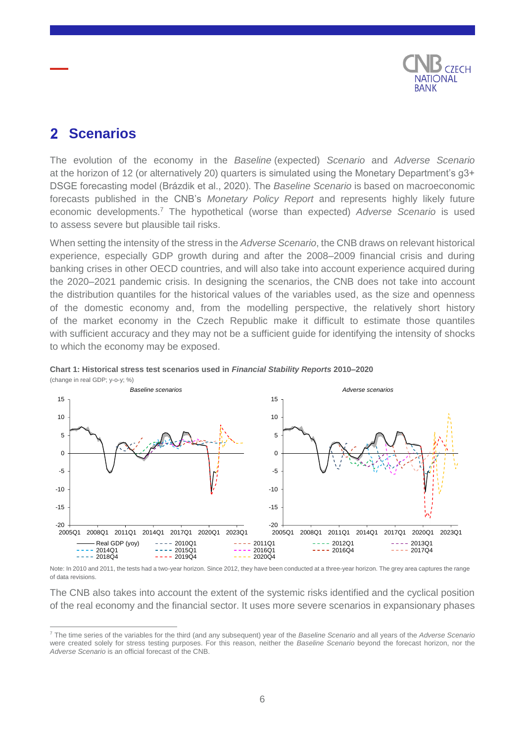

#### <span id="page-5-0"></span>**Scenarios**  $\mathbf{P}$

The evolution of the economy in the *Baseline* (expected) *Scenario* and *Adverse Scenario* at the horizon of 12 (or alternatively 20) quarters is simulated using the Monetary Department's g3+ DSGE forecasting model (Brázdik et al., 2020). The *Baseline Scenario* is based on macroeconomic forecasts published in the CNB's *Monetary Policy Report* and represents highly likely future economic developments.<sup>7</sup> The hypothetical (worse than expected) *Adverse Scenario* is used to assess severe but plausible tail risks.

When setting the intensity of the stress in the *Adverse Scenario*, the CNB draws on relevant historical experience, especially GDP growth during and after the 2008–2009 financial crisis and during banking crises in other OECD countries, and will also take into account experience acquired during the 2020–2021 pandemic crisis. In designing the scenarios, the CNB does not take into account the distribution quantiles for the historical values of the variables used, as the size and openness of the domestic economy and, from the modelling perspective, the relatively short history of the market economy in the Czech Republic make it difficult to estimate those quantiles with sufficient accuracy and they may not be a sufficient guide for identifying the intensity of shocks to which the economy may be exposed.



**Chart 1: Historical stress test scenarios used in** *Financial Stability Reports* **2010–2020** (change in real GDP; y-o-y; %)

Note: In 2010 and 2011, the tests had a two-year horizon. Since 2012, they have been conducted at a three-year horizon. The grey area captures the range of data revisions.

The CNB also takes into account the extent of the systemic risks identified and the cyclical position of the real economy and the financial sector. It uses more severe scenarios in expansionary phases

 $\overline{a}$ <sup>7</sup> The time series of the variables for the third (and any subsequent) year of the *Baseline Scenario* and all years of the *Adverse Scenario* were created solely for stress testing purposes. For this reason, neither the *Baseline Scenario* beyond the forecast horizon, nor the *Adverse Scenario* is an official forecast of the CNB.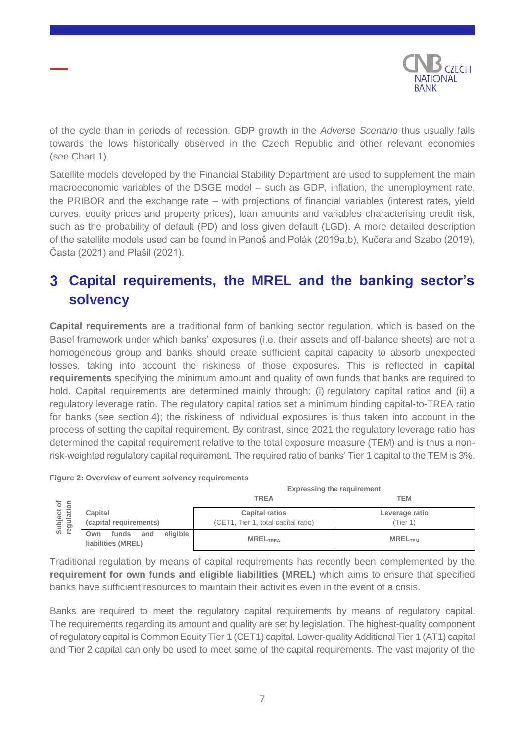

of the cycle than in periods of recession. GDP growth in the *Adverse Scenario* thus usually falls towards the lows historically observed in the Czech Republic and other relevant economies (see Chart 1).

Satellite models developed by the Financial Stability Department are used to supplement the main macroeconomic variables of the DSGE model – such as GDP, inflation, the unemployment rate, the PRIBOR and the exchange rate – with projections of financial variables (interest rates, yield curves, equity prices and property prices), loan amounts and variables characterising credit risk, such as the probability of default (PD) and loss given default (LGD). A more detailed description of the satellite models used can be found in Panoš and Polák (2019a,b), Kučera and Szabo (2019), Časta (2021) and Plašil (2021).

# <span id="page-6-0"></span>**Capital requirements, the MREL and the banking sector's solvency**

**Capital requirements** are a traditional form of banking sector regulation, which is based on the Basel framework under which banks' exposures (i.e. their assets and off-balance sheets) are not a homogeneous group and banks should create sufficient capital capacity to absorb unexpected losses, taking into account the riskiness of those exposures. This is reflected in **capital requirements** specifying the minimum amount and quality of own funds that banks are required to hold. Capital requirements are determined mainly through: (i) regulatory capital ratios and (ii) a regulatory leverage ratio. The regulatory capital ratios set a minimum binding capital-to-TREA ratio for banks (see section 4); the riskiness of individual exposures is thus taken into account in the process of setting the capital requirement. By contrast, since 2021 the regulatory leverage ratio has determined the capital requirement relative to the total exposure measure (TEM) and is thus a nonrisk-weighted regulatory capital requirement. The required ratio of banks' Tier 1 capital to the TEM is 3%.

|                          |                                                       | <b>Expressing the requirement</b>                            |                           |  |
|--------------------------|-------------------------------------------------------|--------------------------------------------------------------|---------------------------|--|
| ō                        |                                                       | <b>TREA</b>                                                  | TEM                       |  |
| Subject of<br>regulation | Capital<br>(capital requirements)                     | <b>Capital ratios</b><br>(CET1, Tier 1, total capital ratio) | Leverage ratio<br>Tier 1) |  |
|                          | eligible<br>funds<br>and<br>Own<br>liabilities (MREL) | <b>MRELTREA</b>                                              | <b>MREL<sub>TEM</sub></b> |  |

**Figure 2: Overview of current solvency requirements** 

Traditional regulation by means of capital requirements has recently been complemented by the **requirement for own funds and eligible liabilities (MREL)** which aims to ensure that specified banks have sufficient resources to maintain their activities even in the event of a crisis.

Banks are required to meet the regulatory capital requirements by means of regulatory capital. The requirements regarding its amount and quality are set by legislation. The highest-quality component of regulatory capital is Common Equity Tier 1 (CET1) capital. Lower-quality Additional Tier 1 (AT1) capital and Tier 2 capital can only be used to meet some of the capital requirements. The vast majority of the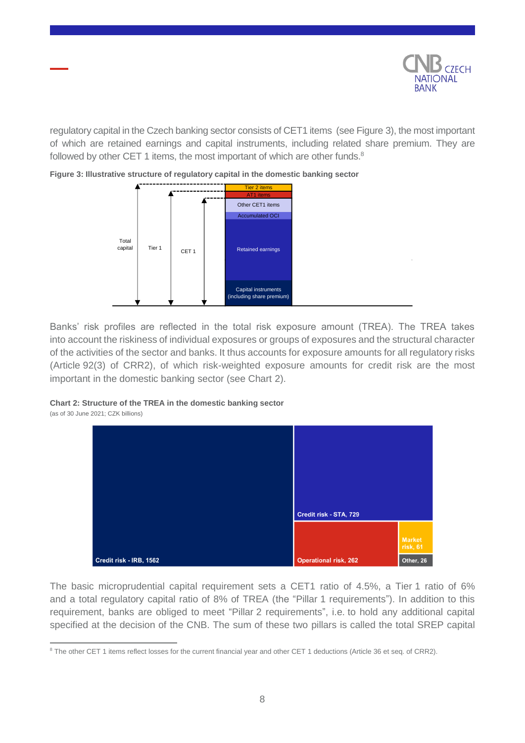

regulatory capital in the Czech banking sector consists of CET1 items (see Figure 3), the most important of which are retained earnings and capital instruments, including related share premium. They are followed by other CET 1 items, the most important of which are other funds.<sup>8</sup>



**Figure 3: Illustrative structure of regulatory capital in the domestic banking sector**

Banks' risk profiles are reflected in the total risk exposure amount (TREA). The TREA takes into account the riskiness of individual exposures or groups of exposures and the structural character of the activities of the sector and banks. It thus accounts for exposure amounts for all regulatory risks (Article 92(3) of CRR2), of which risk-weighted exposure amounts for credit risk are the most important in the domestic banking sector (see Chart 2).

#### **Chart 2: Structure of the TREA in the domestic banking sector**

(as of 30 June 2021; CZK billions)



The basic microprudential capital requirement sets a CET1 ratio of 4.5%, a Tier 1 ratio of 6% and a total regulatory capital ratio of 8% of TREA (the "Pillar 1 requirements"). In addition to this requirement, banks are obliged to meet "Pillar 2 requirements", i.e. to hold any additional capital specified at the decision of the CNB. The sum of these two pillars is called the total SREP capital

 $\overline{a}$ <sup>8</sup> The other CET 1 items reflect losses for the current financial year and other CET 1 deductions (Article 36 et seq. of CRR2).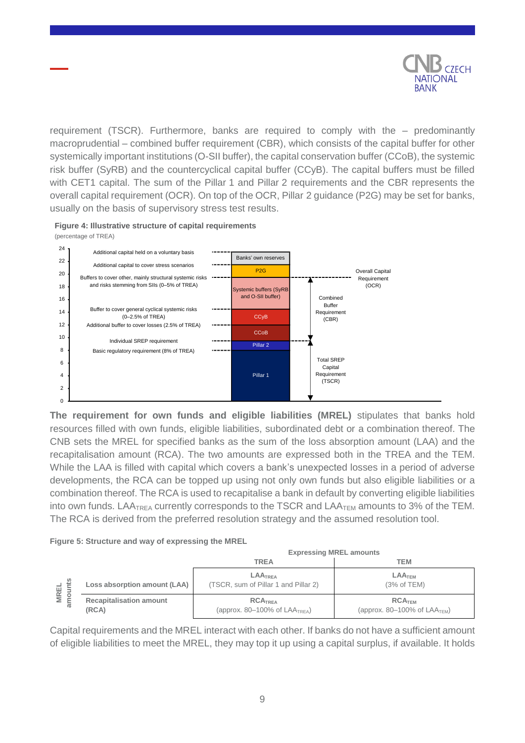

requirement (TSCR). Furthermore, banks are required to comply with the – predominantly macroprudential – combined buffer requirement (CBR), which consists of the capital buffer for other systemically important institutions (O-SII buffer), the capital conservation buffer (CCoB), the systemic risk buffer (SyRB) and the countercyclical capital buffer (CCyB). The capital buffers must be filled with CET1 capital. The sum of the Pillar 1 and Pillar 2 requirements and the CBR represents the overall capital requirement (OCR). On top of the OCR, Pillar 2 guidance (P2G) may be set for banks, usually on the basis of supervisory stress test results.

**Figure 4: Illustrative structure of capital requirements**  (percentage of TREA)



**The requirement for own funds and eligible liabilities (MREL)** stipulates that banks hold resources filled with own funds, eligible liabilities, subordinated debt or a combination thereof. The CNB sets the MREL for specified banks as the sum of the loss absorption amount (LAA) and the recapitalisation amount (RCA). The two amounts are expressed both in the TREA and the TEM. While the LAA is filled with capital which covers a bank's unexpected losses in a period of adverse developments, the RCA can be topped up using not only own funds but also eligible liabilities or a combination thereof. The RCA is used to recapitalise a bank in default by converting eligible liabilities into own funds. LAA $T_{\text{REA}}$  currently corresponds to the TSCR and LAA $_{\text{TEM}}$  amounts to 3% of the TEM. The RCA is derived from the preferred resolution strategy and the assumed resolution tool.

#### **Figure 5: Structure and way of expressing the MREL**

|             |                                         | <b>Expressing MREL amounts</b>                                      |                                                      |  |
|-------------|-----------------------------------------|---------------------------------------------------------------------|------------------------------------------------------|--|
|             |                                         | <b>TREA</b>                                                         | <b>TEM</b>                                           |  |
| <b>MREL</b> | Loss absorption amount (LAA)            | <b>LAATREA</b><br>(TSCR, sum of Pillar 1 and Pillar 2)              | <b>LAATEM</b><br>(3% of TEM)                         |  |
| amo         | <b>Recapitalisation amount</b><br>(RCA) | RCA <sub>TRFA</sub><br>(approx. $80-100\%$ of LAA <sub>TREA</sub> ) | RCA <sub>TEM</sub><br>(approx. 80–100% of $LAATEM$ ) |  |

Capital requirements and the MREL interact with each other. If banks do not have a sufficient amount of eligible liabilities to meet the MREL, they may top it up using a capital surplus, if available. It holds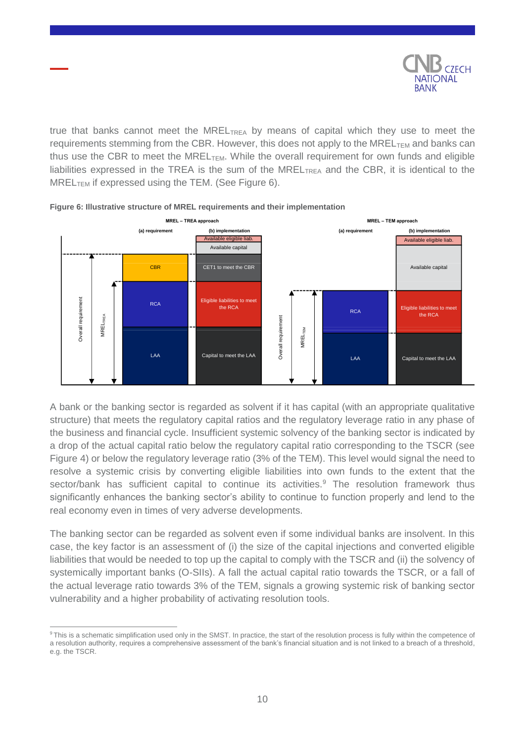

true that banks cannot meet the MREL $_{\text{TREA}}$  by means of capital which they use to meet the requirements stemming from the CBR. However, this does not apply to the MREL $_{\text{TFM}}$  and banks can thus use the CBR to meet the MREL $_{TEM}$ . While the overall requirement for own funds and eligible liabilities expressed in the TREA is the sum of the MREL<sub>TREA</sub> and the CBR, it is identical to the  $MREL$ <sub>TEM</sub> if expressed using the TEM. (See Figure 6).



#### **Figure 6: Illustrative structure of MREL requirements and their implementation**

A bank or the banking sector is regarded as solvent if it has capital (with an appropriate qualitative structure) that meets the regulatory capital ratios and the regulatory leverage ratio in any phase of the business and financial cycle. Insufficient systemic solvency of the banking sector is indicated by a drop of the actual capital ratio below the regulatory capital ratio corresponding to the TSCR (see Figure 4) or below the regulatory leverage ratio (3% of the TEM). This level would signal the need to resolve a systemic crisis by converting eligible liabilities into own funds to the extent that the sector/bank has sufficient capital to continue its activities.<sup>9</sup> The resolution framework thus significantly enhances the banking sector's ability to continue to function properly and lend to the real economy even in times of very adverse developments.

The banking sector can be regarded as solvent even if some individual banks are insolvent. In this case, the key factor is an assessment of (i) the size of the capital injections and converted eligible liabilities that would be needed to top up the capital to comply with the TSCR and (ii) the solvency of systemically important banks (O-SIIs). A fall the actual capital ratio towards the TSCR, or a fall of the actual leverage ratio towards 3% of the TEM, signals a growing systemic risk of banking sector vulnerability and a higher probability of activating resolution tools.

 $\overline{a}$ 

<sup>&</sup>lt;sup>9</sup> This is a schematic simplification used only in the SMST. In practice, the start of the resolution process is fully within the competence of a resolution authority, requires a comprehensive assessment of the bank's financial situation and is not linked to a breach of a threshold, e.g. the TSCR.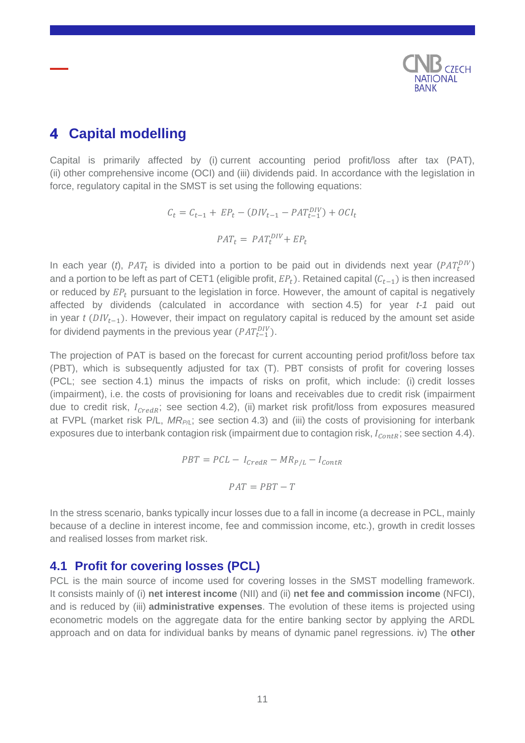

# <span id="page-10-0"></span>**Capital modelling**

Capital is primarily affected by (i) current accounting period profit/loss after tax (PAT), (ii) other comprehensive income (OCI) and (iii) dividends paid. In accordance with the legislation in force, regulatory capital in the SMST is set using the following equations:

$$
C_t = C_{t-1} + EP_t - (DIV_{t-1} - PAT_{t-1}^{DIV}) + OCI_t
$$

$$
PATH_t = PAT_t^{DIV} + EP_t
$$

In each year  $(t)$ ,  $PAT_t$  is divided into a portion to be paid out in dividends next year  $(PAT_t^{DIV})$ and a portion to be left as part of CET1 (eligible profit,  $EP<sub>t</sub>$ ). Retained capital ( $C<sub>t-1</sub>$ ) is then increased or reduced by  $EP_t$  pursuant to the legislation in force. However, the amount of capital is negatively affected by dividends (calculated in accordance with section 4.5) for year *t-1* paid out in year  $t$  ( $DIV_{t-1}$ ). However, their impact on regulatory capital is reduced by the amount set aside for dividend payments in the previous year  $(PAT^{DIV}_{t-1})$ .

The projection of PAT is based on the forecast for current accounting period profit/loss before tax (PBT), which is subsequently adjusted for tax (T). PBT consists of profit for covering losses (PCL; see section 4.1) minus the impacts of risks on profit, which include: (i) credit losses (impairment), i.e. the costs of provisioning for loans and receivables due to credit risk (impairment due to credit risk,  $I_{CredR}$ ; see section 4.2), (ii) market risk profit/loss from exposures measured at FVPL (market risk P/L, *MRP/L*; see section 4.3) and (iii) the costs of provisioning for interbank exposures due to interbank contagion risk (impairment due to contagion risk,  $I_{\text{Contr}}$ ; see section 4.4).

$$
PBT = PCL - I_{\text{CredR}} - MR_{P/L} - I_{\text{contR}}
$$

$$
PAT = PBT - T
$$

In the stress scenario, banks typically incur losses due to a fall in income (a decrease in PCL, mainly because of a decline in interest income, fee and commission income, etc.), growth in credit losses and realised losses from market risk.

### <span id="page-10-1"></span>**4.1 Profit for covering losses (PCL)**

PCL is the main source of income used for covering losses in the SMST modelling framework. It consists mainly of (i) **net interest income** (NII) and (ii) **net fee and commission income** (NFCI), and is reduced by (iii) **administrative expenses**. The evolution of these items is projected using econometric models on the aggregate data for the entire banking sector by applying the ARDL approach and on data for individual banks by means of dynamic panel regressions. iv) The **other**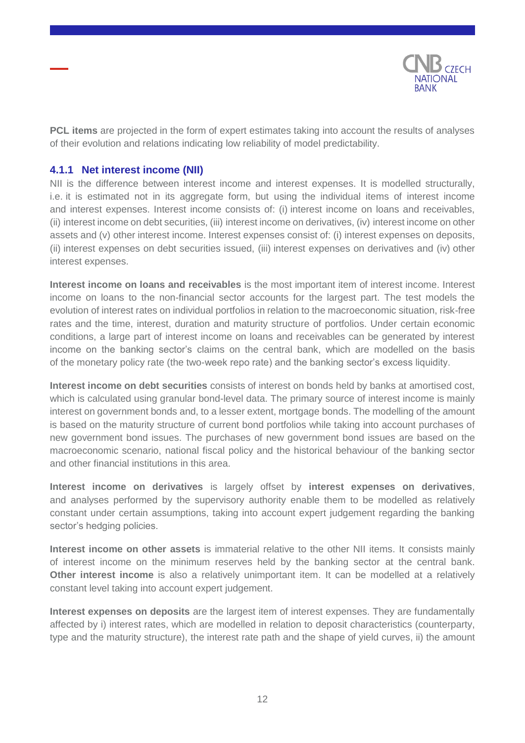

**PCL items** are projected in the form of expert estimates taking into account the results of analyses of their evolution and relations indicating low reliability of model predictability.

#### <span id="page-11-0"></span>**4.1.1 Net interest income (NII)**

NII is the difference between interest income and interest expenses. It is modelled structurally, i.e. it is estimated not in its aggregate form, but using the individual items of interest income and interest expenses. Interest income consists of: (i) interest income on loans and receivables, (ii) interest income on debt securities, (iii) interest income on derivatives, (iv) interest income on other assets and (v) other interest income. Interest expenses consist of: (i) interest expenses on deposits, (ii) interest expenses on debt securities issued, (iii) interest expenses on derivatives and (iv) other interest expenses.

**Interest income on loans and receivables** is the most important item of interest income. Interest income on loans to the non-financial sector accounts for the largest part. The test models the evolution of interest rates on individual portfolios in relation to the macroeconomic situation, risk-free rates and the time, interest, duration and maturity structure of portfolios. Under certain economic conditions, a large part of interest income on loans and receivables can be generated by interest income on the banking sector's claims on the central bank, which are modelled on the basis of the monetary policy rate (the two-week repo rate) and the banking sector's excess liquidity.

**Interest income on debt securities** consists of interest on bonds held by banks at amortised cost, which is calculated using granular bond-level data. The primary source of interest income is mainly interest on government bonds and, to a lesser extent, mortgage bonds. The modelling of the amount is based on the maturity structure of current bond portfolios while taking into account purchases of new government bond issues. The purchases of new government bond issues are based on the macroeconomic scenario, national fiscal policy and the historical behaviour of the banking sector and other financial institutions in this area.

**Interest income on derivatives** is largely offset by **interest expenses on derivatives**, and analyses performed by the supervisory authority enable them to be modelled as relatively constant under certain assumptions, taking into account expert judgement regarding the banking sector's hedging policies.

**Interest income on other assets** is immaterial relative to the other NII items. It consists mainly of interest income on the minimum reserves held by the banking sector at the central bank. **Other interest income** is also a relatively unimportant item. It can be modelled at a relatively constant level taking into account expert judgement.

**Interest expenses on deposits** are the largest item of interest expenses. They are fundamentally affected by i) interest rates, which are modelled in relation to deposit characteristics (counterparty, type and the maturity structure), the interest rate path and the shape of yield curves, ii) the amount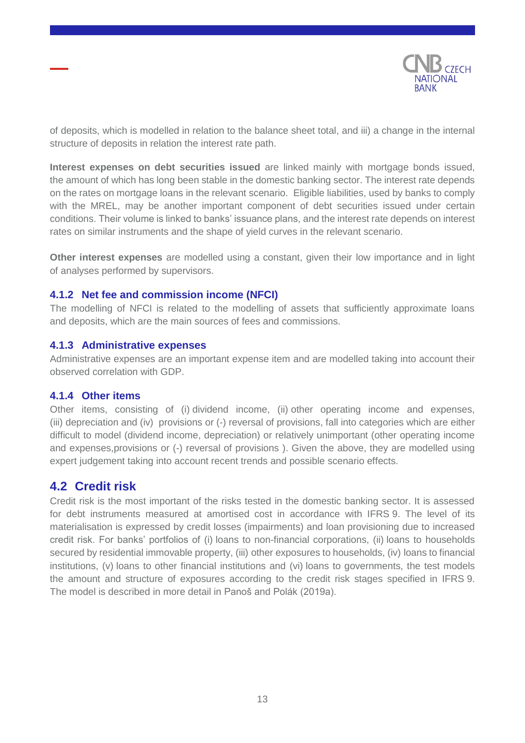

of deposits, which is modelled in relation to the balance sheet total, and iii) a change in the internal structure of deposits in relation the interest rate path.

**Interest expenses on debt securities issued** are linked mainly with mortgage bonds issued, the amount of which has long been stable in the domestic banking sector. The interest rate depends on the rates on mortgage loans in the relevant scenario. Eligible liabilities, used by banks to comply with the MREL, may be another important component of debt securities issued under certain conditions. Their volume is linked to banks' issuance plans, and the interest rate depends on interest rates on similar instruments and the shape of yield curves in the relevant scenario.

**Other interest expenses** are modelled using a constant, given their low importance and in light of analyses performed by supervisors.

#### <span id="page-12-0"></span>**4.1.2 Net fee and commission income (NFCI)**

The modelling of NFCI is related to the modelling of assets that sufficiently approximate loans and deposits, which are the main sources of fees and commissions.

#### <span id="page-12-1"></span>**4.1.3 Administrative expenses**

Administrative expenses are an important expense item and are modelled taking into account their observed correlation with GDP.

#### <span id="page-12-2"></span>**4.1.4 Other items**

Other items, consisting of (i) dividend income, (ii) other operating income and expenses, (iii) depreciation and (iv) provisions or (-) reversal of provisions, fall into categories which are either difficult to model (dividend income, depreciation) or relatively unimportant (other operating income and expenses,provisions or (-) reversal of provisions ). Given the above, they are modelled using expert judgement taking into account recent trends and possible scenario effects.

### <span id="page-12-3"></span>**4.2 Credit risk**

Credit risk is the most important of the risks tested in the domestic banking sector. It is assessed for debt instruments measured at amortised cost in accordance with IFRS 9. The level of its materialisation is expressed by credit losses (impairments) and loan provisioning due to increased credit risk. For banks' portfolios of (i) loans to non-financial corporations, (ii) loans to households secured by residential immovable property, (iii) other exposures to households, (iv) loans to financial institutions, (v) loans to other financial institutions and (vi) loans to governments, the test models the amount and structure of exposures according to the credit risk stages specified in IFRS 9. The model is described in more detail in Panoš and Polák (2019a).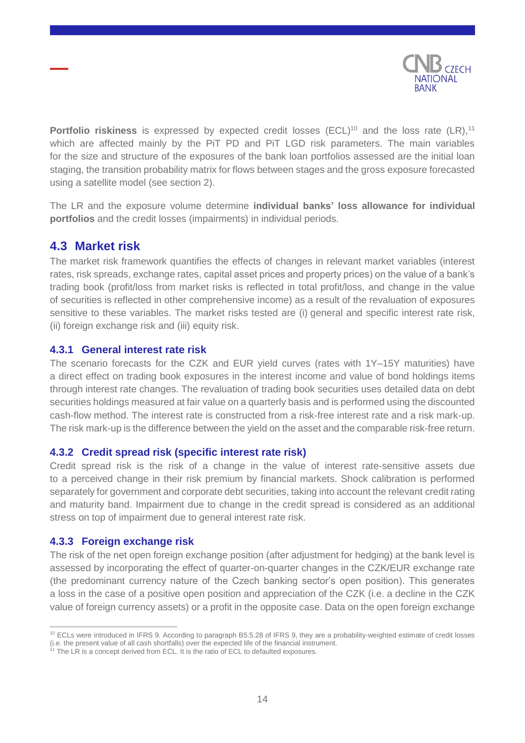

**Portfolio riskiness** is expressed by expected credit losses (ECL)<sup>10</sup> and the loss rate (LR),<sup>11</sup> which are affected mainly by the PiT PD and PiT LGD risk parameters. The main variables for the size and structure of the exposures of the bank loan portfolios assessed are the initial loan staging, the transition probability matrix for flows between stages and the gross exposure forecasted using a satellite model (see section [2\)](#page-5-0).

The LR and the exposure volume determine **individual banks' loss allowance for individual portfolios** and the credit losses (impairments) in individual periods.

### <span id="page-13-0"></span>**4.3 Market risk**

The market risk framework quantifies the effects of changes in relevant market variables (interest rates, risk spreads, exchange rates, capital asset prices and property prices) on the value of a bank's trading book (profit/loss from market risks is reflected in total profit/loss, and change in the value of securities is reflected in other comprehensive income) as a result of the revaluation of exposures sensitive to these variables. The market risks tested are (i) general and specific interest rate risk, (ii) foreign exchange risk and (iii) equity risk.

#### <span id="page-13-1"></span>**4.3.1 General interest rate risk**

The scenario forecasts for the CZK and EUR yield curves (rates with 1Y–15Y maturities) have a direct effect on trading book exposures in the interest income and value of bond holdings items through interest rate changes. The revaluation of trading book securities uses detailed data on debt securities holdings measured at fair value on a quarterly basis and is performed using the discounted cash-flow method. The interest rate is constructed from a risk-free interest rate and a risk mark-up. The risk mark-up is the difference between the yield on the asset and the comparable risk-free return.

#### <span id="page-13-2"></span>**4.3.2 Credit spread risk (specific interest rate risk)**

Credit spread risk is the risk of a change in the value of interest rate-sensitive assets due to a perceived change in their risk premium by financial markets. Shock calibration is performed separately for government and corporate debt securities, taking into account the relevant credit rating and maturity band. Impairment due to change in the credit spread is considered as an additional stress on top of impairment due to general interest rate risk.

#### <span id="page-13-3"></span>**4.3.3 Foreign exchange risk**

The risk of the net open foreign exchange position (after adjustment for hedging) at the bank level is assessed by incorporating the effect of quarter-on-quarter changes in the CZK/EUR exchange rate (the predominant currency nature of the Czech banking sector's open position). This generates a loss in the case of a positive open position and appreciation of the CZK (i.e. a decline in the CZK value of foreign currency assets) or a profit in the opposite case. Data on the open foreign exchange

 $\overline{a}$ <sup>10</sup> ECLs were introduced in IFRS 9. According to paragraph B5.5.28 of IFRS 9, they are a probability-weighted estimate of credit losses (i.e. the present value of all cash shortfalls) over the expected life of the financial instrument.

 $11$  The LR is a concept derived from ECL. It is the ratio of ECL to defaulted exposures.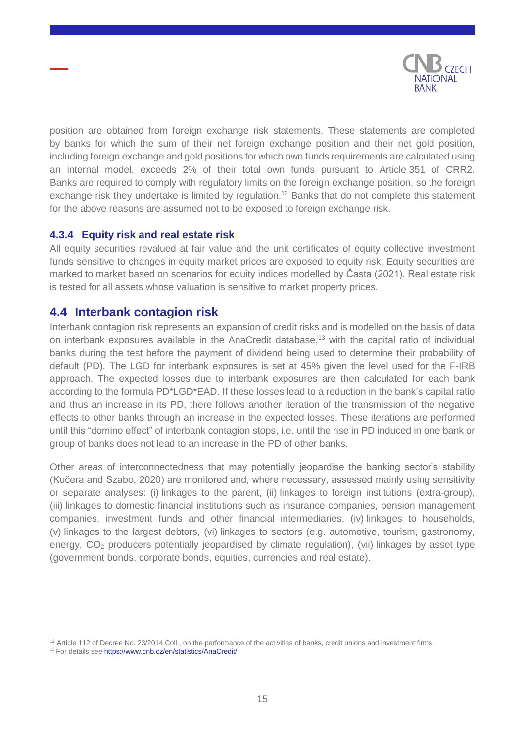

position are obtained from foreign exchange risk statements. These statements are completed by banks for which the sum of their net foreign exchange position and their net gold position, including foreign exchange and gold positions for which own funds requirements are calculated using an internal model, exceeds 2% of their total own funds pursuant to Article 351 of CRR2. Banks are required to comply with regulatory limits on the foreign exchange position, so the foreign exchange risk they undertake is limited by regulation.<sup>12</sup> Banks that do not complete this statement for the above reasons are assumed not to be exposed to foreign exchange risk.

### <span id="page-14-0"></span>**4.3.4 Equity risk and real estate risk**

All equity securities revalued at fair value and the unit certificates of equity collective investment funds sensitive to changes in equity market prices are exposed to equity risk. Equity securities are marked to market based on scenarios for equity indices modelled by Časta (2021). Real estate risk is tested for all assets whose valuation is sensitive to market property prices.

### <span id="page-14-1"></span>**4.4 Interbank contagion risk**

Interbank contagion risk represents an expansion of credit risks and is modelled on the basis of data on interbank exposures available in the AnaCredit database, <sup>13</sup> with the capital ratio of individual banks during the test before the payment of dividend being used to determine their probability of default (PD). The LGD for interbank exposures is set at 45% given the level used for the F-IRB approach. The expected losses due to interbank exposures are then calculated for each bank according to the formula PD\*LGD\*EAD. If these losses lead to a reduction in the bank's capital ratio and thus an increase in its PD, there follows another iteration of the transmission of the negative effects to other banks through an increase in the expected losses. These iterations are performed until this "domino effect" of interbank contagion stops, i.e. until the rise in PD induced in one bank or group of banks does not lead to an increase in the PD of other banks.

Other areas of interconnectedness that may potentially jeopardise the banking sector's stability (Kučera and Szabo, 2020) are monitored and, where necessary, assessed mainly using sensitivity or separate analyses: (i) linkages to the parent, (ii) linkages to foreign institutions (extra-group), (iii) linkages to domestic financial institutions such as insurance companies, pension management companies, investment funds and other financial intermediaries, (iv) linkages to households, (v) linkages to the largest debtors, (vi) linkages to sectors (e.g. automotive, tourism, gastronomy, energy, CO<sub>2</sub> producers potentially jeopardised by climate regulation), (vii) linkages by asset type (government bonds, corporate bonds, equities, currencies and real estate).

 $\overline{a}$  $12$  Article 112 of Decree No. 23/2014 Coll., on the performance of the activities of banks, credit unions and investment firms. <sup>13</sup> For details see <https://www.cnb.cz/en/statistics/AnaCredit/>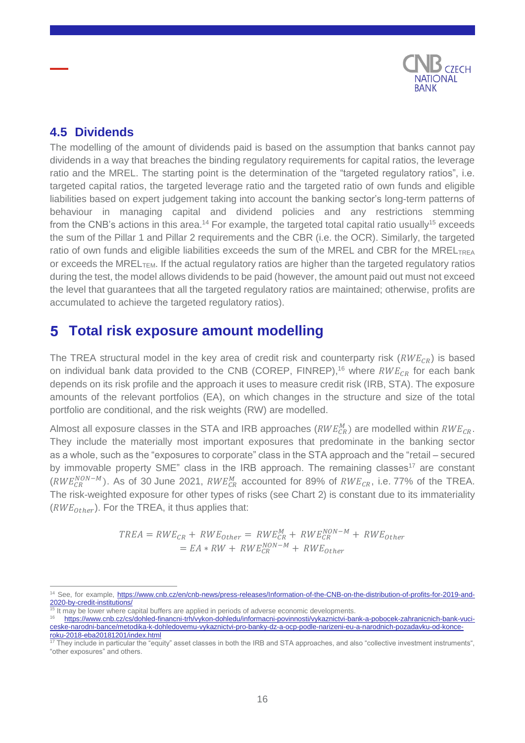

## <span id="page-15-0"></span>**4.5 Dividends**

The modelling of the amount of dividends paid is based on the assumption that banks cannot pay dividends in a way that breaches the binding regulatory requirements for capital ratios, the leverage ratio and the MREL. The starting point is the determination of the "targeted regulatory ratios", i.e. targeted capital ratios, the targeted leverage ratio and the targeted ratio of own funds and eligible liabilities based on expert judgement taking into account the banking sector's long-term patterns of behaviour in managing capital and dividend policies and any restrictions stemming from the CNB's actions in this area.<sup>14</sup> For example, the targeted total capital ratio usually<sup>15</sup> exceeds the sum of the Pillar 1 and Pillar 2 requirements and the CBR (i.e. the OCR). Similarly, the targeted ratio of own funds and eligible liabilities exceeds the sum of the MREL and CBR for the MREL<sub>TREA</sub> or exceeds the MREL $_{\text{TEM}}$ . If the actual regulatory ratios are higher than the targeted regulatory ratios during the test, the model allows dividends to be paid (however, the amount paid out must not exceed the level that guarantees that all the targeted regulatory ratios are maintained; otherwise, profits are accumulated to achieve the targeted regulatory ratios).

#### <span id="page-15-1"></span>**Total risk exposure amount modelling** 5

The TREA structural model in the key area of credit risk and counterparty risk ( $RWE_{CR}$ ) is based on individual bank data provided to the CNB (COREP, FINREP),<sup>16</sup> where  $RWE_{CR}$  for each bank depends on its risk profile and the approach it uses to measure credit risk (IRB, STA). The exposure amounts of the relevant portfolios (EA), on which changes in the structure and size of the total portfolio are conditional, and the risk weights (RW) are modelled.

Almost all exposure classes in the STA and IRB approaches ( $RWE_{CR}^M$ ) are modelled within  $RWE_{CR}$ . They include the materially most important exposures that predominate in the banking sector as a whole, such as the "exposures to corporate" class in the STA approach and the "retail – secured by immovable property SME" class in the IRB approach. The remaining classes<sup>17</sup> are constant  $(RWE_{CR}^{NON-M})$ . As of 30 June 2021,  $RWE_{CR}^{M}$  accounted for 89% of  $RWE_{CR}$ , i.e. 77% of the TREA. The risk-weighted exposure for other types of risks (see Chart 2) is constant due to its immateriality  $(RWE<sub>other</sub>)$ . For the TREA, it thus applies that:

> $TREA = RWE_{CR} + RWE_{Other} = RWE_{CR}^{M} + RWE_{CR}^{NON-M} + RWE_{other}$  $= EA * RW + RWE_{CR}^{NON-M} + RWE_{Other}$

 $\overline{a}$ <sup>14</sup> See, for example, [https://www.cnb.cz/en/cnb-news/press-releases/Information-of-the-CNB-on-the-distribution-of-profits-for-2019-and-](https://www.cnb.cz/en/cnb-news/press-releases/Information-of-the-CNB-on-the-distribution-of-profits-for-2019-and-2020-by-credit-institutions/)[2020-by-credit-institutions/](https://www.cnb.cz/en/cnb-news/press-releases/Information-of-the-CNB-on-the-distribution-of-profits-for-2019-and-2020-by-credit-institutions/)

<sup>&</sup>lt;sup>5</sup> It may be lower where capital buffers are applied in periods of adverse economic developments.

<sup>16</sup> [https://www.cnb.cz/cs/dohled-financni-trh/vykon-dohledu/informacni-povinnosti/vykaznictvi-bank-a-pobocek-zahranicnich-bank-vuci](https://www.cnb.cz/cs/dohled-financni-trh/vykon-dohledu/informacni-povinnosti/vykaznictvi-bank-a-pobocek-zahranicnich-bank-vuci-ceske-narodni-bance/metodika-k-dohledovemu-vykaznictvi-pro-banky-dz-a-ocp-podle-narizeni-eu-a-narodnich-pozadavku-od-konce-roku-)[ceske-narodni-bance/metodika-k-dohledovemu-vykaznictvi-pro-banky-dz-a-ocp-podle-narizeni-eu-a-narodnich-pozadavku-od-konce](https://www.cnb.cz/cs/dohled-financni-trh/vykon-dohledu/informacni-povinnosti/vykaznictvi-bank-a-pobocek-zahranicnich-bank-vuci-ceske-narodni-bance/metodika-k-dohledovemu-vykaznictvi-pro-banky-dz-a-ocp-podle-narizeni-eu-a-narodnich-pozadavku-od-konce-roku-)[roku-2018-eba20181201/index.html](https://www.cnb.cz/cs/dohled-financni-trh/vykon-dohledu/informacni-povinnosti/vykaznictvi-bank-a-pobocek-zahranicnich-bank-vuci-ceske-narodni-bance/metodika-k-dohledovemu-vykaznictvi-pro-banky-dz-a-ocp-podle-narizeni-eu-a-narodnich-pozadavku-od-konce-roku-)<br>17 They include to

<sup>17</sup> They include in particular the "equity" asset classes in both the IRB and STA approaches, and also "collective investment instruments", "other exposures" and others.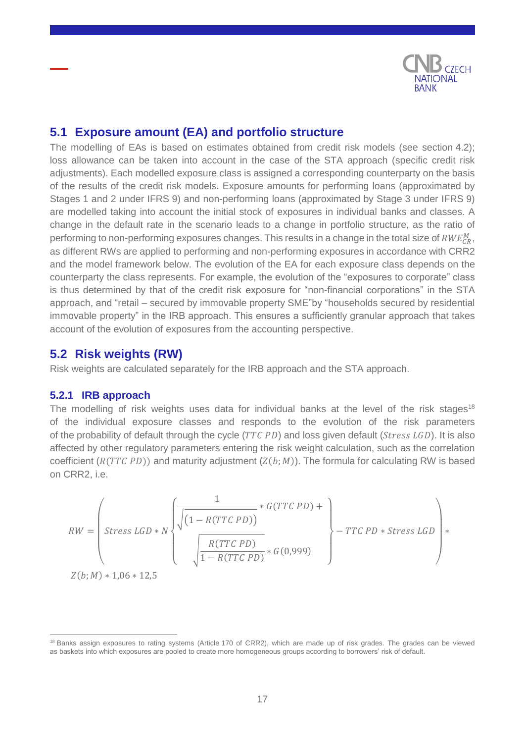

## <span id="page-16-0"></span>**5.1 Exposure amount (EA) and portfolio structure**

The modelling of EAs is based on estimates obtained from credit risk models (see section 4.2); loss allowance can be taken into account in the case of the STA approach (specific credit risk adjustments). Each modelled exposure class is assigned a corresponding counterparty on the basis of the results of the credit risk models. Exposure amounts for performing loans (approximated by Stages 1 and 2 under IFRS 9) and non-performing loans (approximated by Stage 3 under IFRS 9) are modelled taking into account the initial stock of exposures in individual banks and classes. A change in the default rate in the scenario leads to a change in portfolio structure, as the ratio of performing to non-performing exposures changes. This results in a change in the total size of  $\mathit{RWE}_{CR}^M,$ as different RWs are applied to performing and non-performing exposures in accordance with CRR2 and the model framework below. The evolution of the EA for each exposure class depends on the counterparty the class represents. For example, the evolution of the "exposures to corporate" class is thus determined by that of the credit risk exposure for "non-financial corporations" in the STA approach, and "retail – secured by immovable property SME"by "households secured by residential immovable property" in the IRB approach. This ensures a sufficiently granular approach that takes account of the evolution of exposures from the accounting perspective.

### <span id="page-16-1"></span>**5.2 Risk weights (RW)**

Risk weights are calculated separately for the IRB approach and the STA approach.

#### <span id="page-16-2"></span>**5.2.1 IRB approach**

 $\overline{a}$ 

The modelling of risk weights uses data for individual banks at the level of the risk stages<sup>18</sup> of the individual exposure classes and responds to the evolution of the risk parameters of the probability of default through the cycle  $(TTCPD)$  and loss given default ( $Stress LGD$ ). It is also affected by other regulatory parameters entering the risk weight calculation, such as the correlation coefficient  $(R(TTC PD))$  and maturity adjustment  $(Z(b; M))$ . The formula for calculating RW is based on CRR2, i.e.

$$
RW = \left( \begin{array}{c} 1 \\ \text{Stress LGD} * N \end{array} \right) \left( \frac{1}{1 - R(TTC PD))} * G(TTC PD) + \right) - TTC PD * \text{Stress LGD} \right) * \left( \frac{R(TTC PD)}{1 - R(TTC PD)} * G(0,999) \right)
$$

<sup>&</sup>lt;sup>18</sup> Banks assign exposures to rating systems (Article 170 of CRR2), which are made up of risk grades. The grades can be viewed as baskets into which exposures are pooled to create more homogeneous groups according to borrowers' risk of default.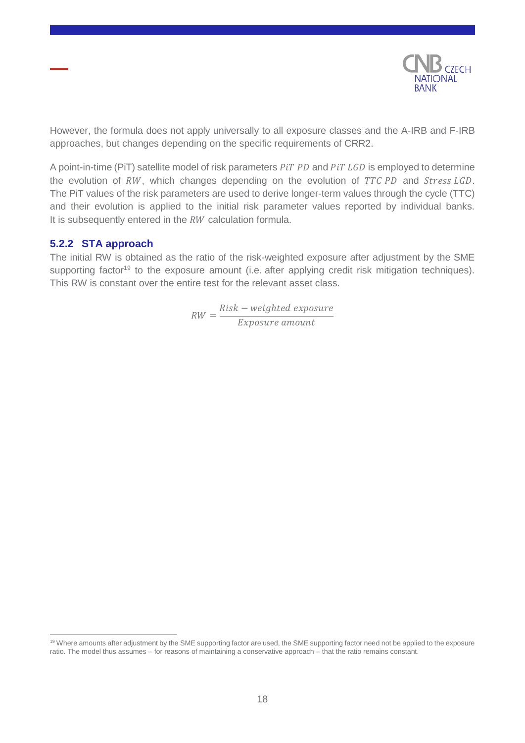

However, the formula does not apply universally to all exposure classes and the A-IRB and F-IRB approaches, but changes depending on the specific requirements of CRR2.

A point-in-time (PiT) satellite model of risk parameters PiT PD and PiT LGD is employed to determine the evolution of  $RW$ , which changes depending on the evolution of  $TTCPD$  and  $Stress LGD$ . The PiT values of the risk parameters are used to derive longer-term values through the cycle (TTC) and their evolution is applied to the initial risk parameter values reported by individual banks. It is subsequently entered in the  $RW$  calculation formula.

#### <span id="page-17-0"></span>**5.2.2 STA approach**

 $\overline{a}$ 

The initial RW is obtained as the ratio of the risk-weighted exposure after adjustment by the SME supporting factor<sup>19</sup> to the exposure amount (i.e. after applying credit risk mitigation techniques). This RW is constant over the entire test for the relevant asset class.

> $RW =$ Risk – weighted exposure Exposure amount

<sup>&</sup>lt;sup>19</sup> Where amounts after adjustment by the SME supporting factor are used, the SME supporting factor need not be applied to the exposure ratio. The model thus assumes – for reasons of maintaining a conservative approach – that the ratio remains constant.